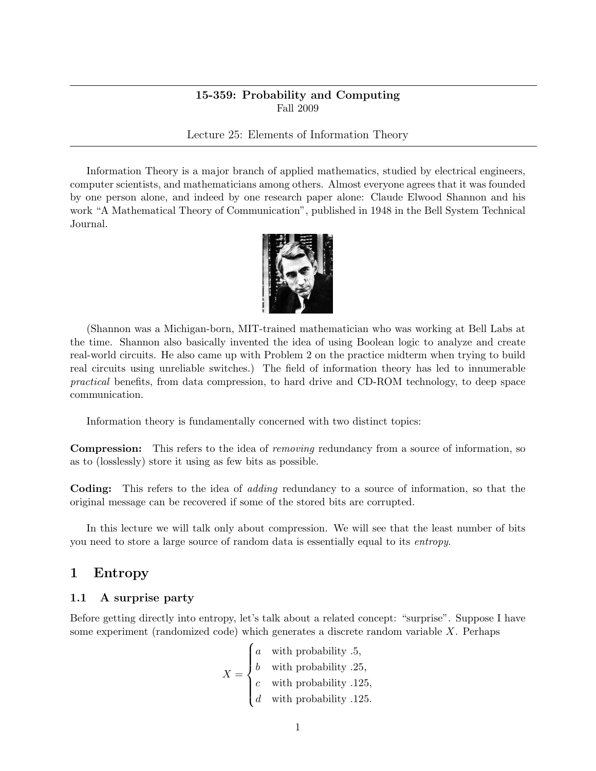# 15-359: Probability and Computing Fall 2009

Lecture 25: Elements of Information Theory

Information Theory is a major branch of applied mathematics, studied by electrical engineers, computer scientists, and mathematicians among others. Almost everyone agrees that it was founded by one person alone, and indeed by one research paper alone: Claude Elwood Shannon and his work "A Mathematical Theory of Communication", published in 1948 in the Bell System Technical Journal.



(Shannon was a Michigan-born, MIT-trained mathematician who was working at Bell Labs at the time. Shannon also basically invented the idea of using Boolean logic to analyze and create real-world circuits. He also came up with Problem 2 on the practice midterm when trying to build real circuits using unreliable switches.) The field of information theory has led to innumerable practical benefits, from data compression, to hard drive and CD-ROM technology, to deep space communication.

Information theory is fundamentally concerned with two distinct topics:

**Compression:** This refers to the idea of *removing* redundancy from a source of information, so as to (losslessly) store it using as few bits as possible.

Coding: This refers to the idea of adding redundancy to a source of information, so that the original message can be recovered if some of the stored bits are corrupted.

In this lecture we will talk only about compression. We will see that the least number of bits you need to store a large source of random data is essentially equal to its entropy.

# 1 Entropy

#### 1.1 A surprise party

Before getting directly into entropy, let's talk about a related concept: "surprise". Suppose I have some experiment (randomized code) which generates a discrete random variable X. Perhaps

$$
X = \begin{cases} a & \text{with probability .5,} \\ b & \text{with probability .25,} \\ c & \text{with probability .125,} \\ d & \text{with probability .125.} \end{cases}
$$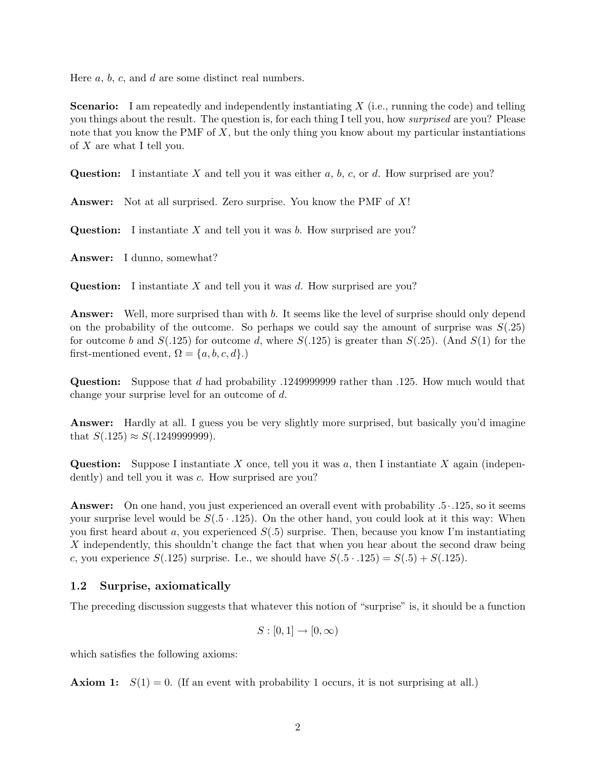Here  $a, b, c$ , and  $d$  are some distinct real numbers.

**Scenario:** I am repeatedly and independently instantiating  $X$  (i.e., running the code) and telling you things about the result. The question is, for each thing I tell you, how surprised are you? Please note that you know the PMF of  $X$ , but the only thing you know about my particular instantiations of  $X$  are what I tell you.

Question: I instantiate X and tell you it was either a, b, c, or d. How surprised are you?

Answer: Not at all surprised. Zero surprise. You know the PMF of X!

**Question:** I instantiate  $X$  and tell you it was  $b$ . How surprised are you?

Answer: I dunno, somewhat?

Question: I instantiate  $X$  and tell you it was  $d$ . How surprised are you?

Answer: Well, more surprised than with b. It seems like the level of surprise should only depend on the probability of the outcome. So perhaps we could say the amount of surprise was  $S(.25)$ for outcome b and  $S(.125)$  for outcome d, where  $S(.125)$  is greater than  $S(.25)$ . (And  $S(1)$  for the first-mentioned event,  $\Omega = \{a, b, c, d\}$ .)

Question: Suppose that d had probability .1249999999 rather than .125. How much would that change your surprise level for an outcome of d.

Answer: Hardly at all. I guess you be very slightly more surprised, but basically you'd imagine that  $S(.125) \approx S(.1249999999)$ .

**Question:** Suppose I instantiate X once, tell you it was a, then I instantiate X again (independently) and tell you it was c. How surprised are you?

Answer: On one hand, you just experienced an overall event with probability  $.5 \cdot .125$ , so it seems your surprise level would be  $S(0.5 \cdot 0.125)$ . On the other hand, you could look at it this way: When you first heard about a, you experienced  $S(0.5)$  surprise. Then, because you know I'm instantiating X independently, this shouldn't change the fact that when you hear about the second draw being c, you experience  $S(.125)$  surprise. I.e., we should have  $S(.5 \cdot .125) = S(.5) + S(.125)$ .

## 1.2 Surprise, axiomatically

The preceding discussion suggests that whatever this notion of "surprise" is, it should be a function

$$
S : [0,1] \to [0,\infty)
$$

which satisfies the following axioms:

**Axiom 1:**  $S(1) = 0$ . (If an event with probability 1 occurs, it is not surprising at all.)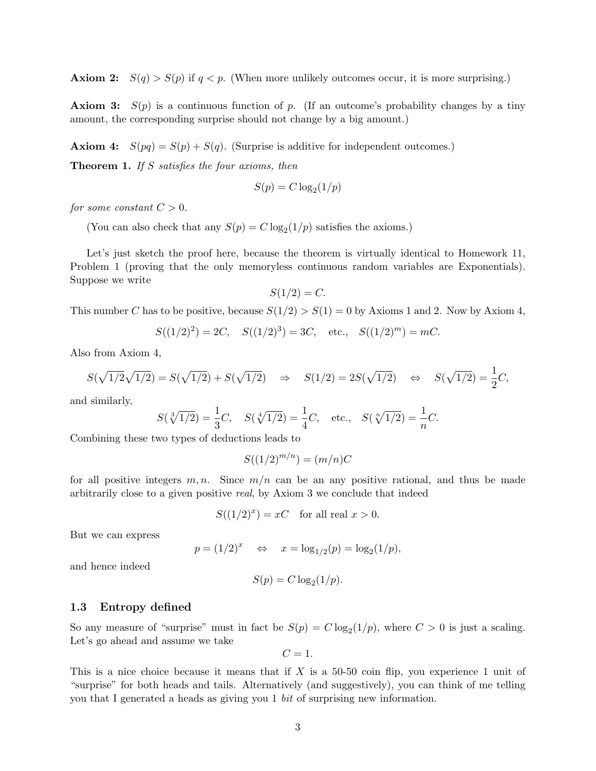**Axiom 2:**  $S(q) > S(p)$  if  $q < p$ . (When more unlikely outcomes occur, it is more surprising.)

**Axiom 3:**  $S(p)$  is a continuous function of p. (If an outcome's probability changes by a tiny amount, the corresponding surprise should not change by a big amount.)

**Axiom 4:**  $S(pq) = S(p) + S(q)$ . (Surprise is additive for independent outcomes.)

**Theorem 1.** If S satisfies the four axioms, then

$$
S(p) = C \log_2(1/p)
$$

for some constant  $C > 0$ .

(You can also check that any  $S(p) = C \log_2(1/p)$  satisfies the axioms.)

Let's just sketch the proof here, because the theorem is virtually identical to Homework 11, Problem 1 (proving that the only memoryless continuous random variables are Exponentials). Suppose we write

$$
S(1/2) = C.
$$

This number C has to be positive, because  $S(1/2) > S(1) = 0$  by Axioms 1 and 2. Now by Axiom 4,

$$
S((1/2)^2) = 2C
$$
,  $S((1/2)^3) = 3C$ , etc.,  $S((1/2)^m) = mC$ .

Also from Axiom 4,

$$
S(\sqrt{1/2}\sqrt{1/2}) = S(\sqrt{1/2}) + S(\sqrt{1/2}) \quad \Rightarrow \quad S(1/2) = 2S(\sqrt{1/2}) \quad \Leftrightarrow \quad S(\sqrt{1/2}) = \frac{1}{2}C,
$$

and similarly,

$$
S(\sqrt[3]{1/2}) = \frac{1}{3}C, \quad S(\sqrt[4]{1/2}) = \frac{1}{4}C, \quad \text{etc.,} \quad S(\sqrt[n]{1/2}) = \frac{1}{n}C.
$$

Combining these two types of deductions leads to

$$
S((1/2)^{m/n}) = (m/n)C
$$

for all positive integers  $m, n$ . Since  $m/n$  can be an any positive rational, and thus be made arbitrarily close to a given positive real, by Axiom 3 we conclude that indeed

$$
S((1/2)^x) = xC \quad \text{for all real } x > 0.
$$

But we can express

$$
p = (1/2)^x
$$
  $\Leftrightarrow$   $x = \log_{1/2}(p) = \log_2(1/p),$ 

and hence indeed

$$
S(p) = C \log_2(1/p).
$$

### 1.3 Entropy defined

So any measure of "surprise" must in fact be  $S(p) = C \log_2(1/p)$ , where  $C > 0$  is just a scaling. Let's go ahead and assume we take

$$
C=1.
$$

This is a nice choice because it means that if X is a 50-50 coin flip, you experience 1 unit of "surprise" for both heads and tails. Alternatively (and suggestively), you can think of me telling you that I generated a heads as giving you 1 bit of surprising new information.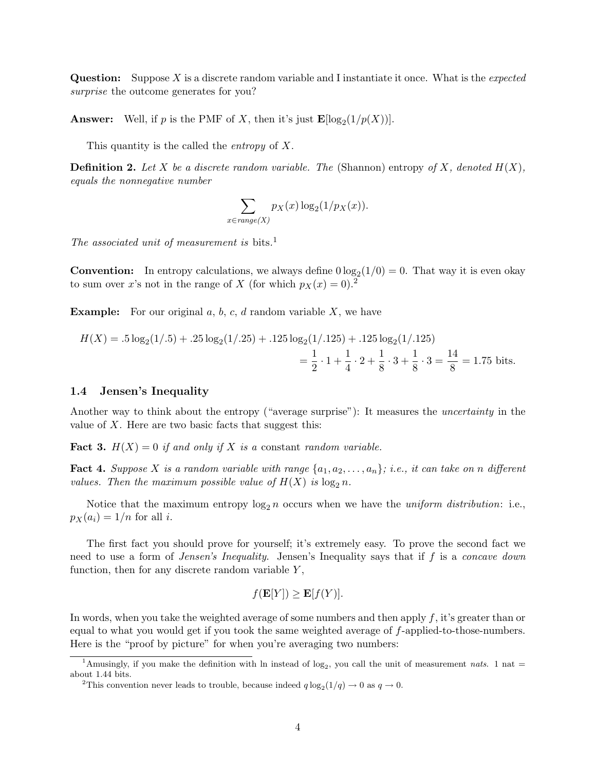**Question:** Suppose X is a discrete random variable and I instantiate it once. What is the *expected* surprise the outcome generates for you?

**Answer:** Well, if p is the PMF of X, then it's just  $\mathbf{E}[\log_2(1/p(X))]$ .

This quantity is the called the *entropy* of X.

**Definition 2.** Let X be a discrete random variable. The (Shannon) entropy of X, denoted  $H(X)$ . equals the nonnegative number

$$
\sum_{x \in range(X)} p_X(x) \log_2(1/p_X(x)).
$$

The associated unit of measurement is bits.<sup>1</sup>

**Convention:** In entropy calculations, we always define  $0 \log_2(1/0) = 0$ . That way it is even okay to sum over x's not in the range of X (for which  $p_X(x) = 0$ ).<sup>2</sup>

**Example:** For our original  $a, b, c, d$  random variable  $X$ , we have

$$
H(X) = .5 \log_2(1/.5) + .25 \log_2(1/.25) + .125 \log_2(1/.125) + .125 \log_2(1/.125)
$$
  
=  $\frac{1}{2} \cdot 1 + \frac{1}{4} \cdot 2 + \frac{1}{8} \cdot 3 + \frac{1}{8} \cdot 3 = \frac{14}{8} = 1.75$  bits.

### 1.4 Jensen's Inequality

Another way to think about the entropy ("average surprise"): It measures the uncertainty in the value of  $X$ . Here are two basic facts that suggest this:

**Fact 3.**  $H(X) = 0$  if and only if X is a constant random variable.

**Fact 4.** Suppose X is a random variable with range  $\{a_1, a_2, \ldots, a_n\}$ ; i.e., it can take on n different values. Then the maximum possible value of  $H(X)$  is  $\log_2 n$ .

Notice that the maximum entropy  $\log_2 n$  occurs when we have the *uniform distribution*: i.e.,  $p_X(a_i) = 1/n$  for all i.

The first fact you should prove for yourself; it's extremely easy. To prove the second fact we need to use a form of *Jensen's Inequality*. Jensen's Inequality says that if f is a *concave down* function, then for any discrete random variable  $Y$ ,

$$
f(\mathbf{E}[Y]) \ge \mathbf{E}[f(Y)].
$$

In words, when you take the weighted average of some numbers and then apply f, it's greater than or equal to what you would get if you took the same weighted average of f-applied-to-those-numbers. Here is the "proof by picture" for when you're averaging two numbers:

<sup>&</sup>lt;sup>1</sup>Amusingly, if you make the definition with ln instead of  $log_2$ , you call the unit of measurement nats. 1 nat = about 1.44 bits.

<sup>&</sup>lt;sup>2</sup>This convention never leads to trouble, because indeed  $q \log_2(1/q) \to 0$  as  $q \to 0$ .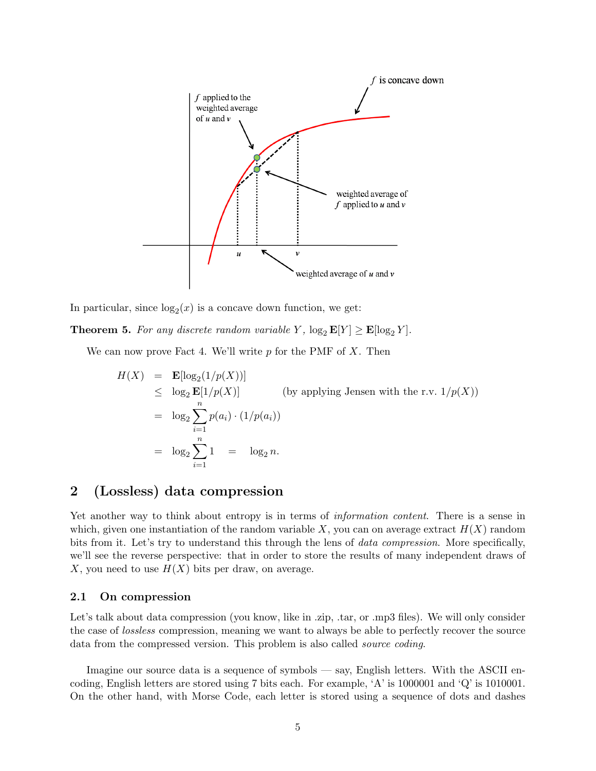

In particular, since  $log_2(x)$  is a concave down function, we get:

**Theorem 5.** For any discrete random variable Y,  $\log_2 \mathbf{E}[Y] \geq \mathbf{E}[\log_2 Y]$ .

We can now prove Fact 4. We'll write  $p$  for the PMF of  $X$ . Then

$$
H(X) = \mathbf{E}[\log_2(1/p(X))]
$$
  
\n
$$
\leq \log_2 \mathbf{E}[1/p(X)]
$$
 (by applying Jensen with the r.v.  $1/p(X)$ )  
\n
$$
= \log_2 \sum_{i=1}^n p(a_i) \cdot (1/p(a_i))
$$
  
\n
$$
= \log_2 \sum_{i=1}^n 1 = \log_2 n.
$$

# 2 (Lossless) data compression

Yet another way to think about entropy is in terms of *information content*. There is a sense in which, given one instantiation of the random variable  $X$ , you can on average extract  $H(X)$  random bits from it. Let's try to understand this through the lens of *data compression*. More specifically, we'll see the reverse perspective: that in order to store the results of many independent draws of X, you need to use  $H(X)$  bits per draw, on average.

## 2.1 On compression

Let's talk about data compression (you know, like in .zip, .tar, or .mp3 files). We will only consider the case of lossless compression, meaning we want to always be able to perfectly recover the source data from the compressed version. This problem is also called *source coding*.

Imagine our source data is a sequence of symbols — say, English letters. With the ASCII encoding, English letters are stored using 7 bits each. For example, 'A' is 1000001 and 'Q' is 1010001. On the other hand, with Morse Code, each letter is stored using a sequence of dots and dashes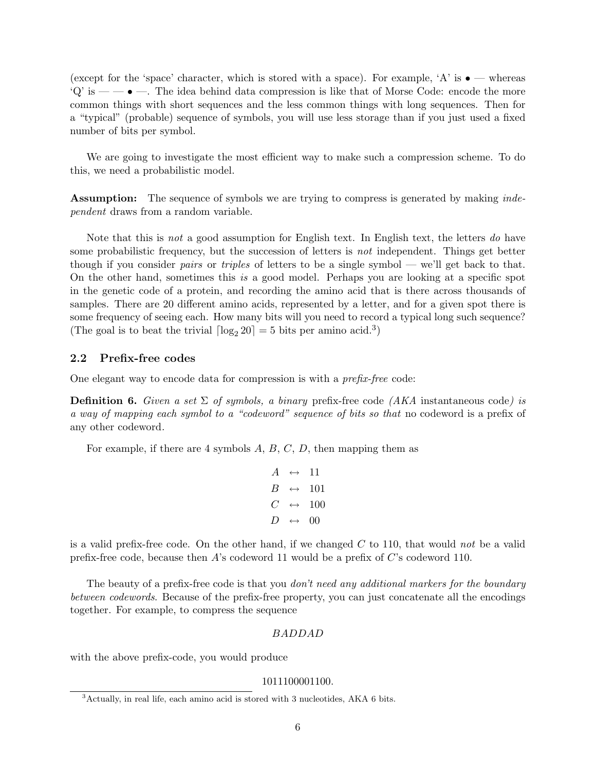(except for the 'space' character, which is stored with a space). For example, 'A' is  $\bullet$  — whereas  $\mathcal{L}(\mathbf{Q})$  is  $-\bullet$   $-\bullet$ . The idea behind data compression is like that of Morse Code: encode the more common things with short sequences and the less common things with long sequences. Then for a "typical" (probable) sequence of symbols, you will use less storage than if you just used a fixed number of bits per symbol.

We are going to investigate the most efficient way to make such a compression scheme. To do this, we need a probabilistic model.

**Assumption:** The sequence of symbols we are trying to compress is generated by making *inde*pendent draws from a random variable.

Note that this is not a good assumption for English text. In English text, the letters do have some probabilistic frequency, but the succession of letters is not independent. Things get better though if you consider *pairs* or *triples* of letters to be a single symbol — we'll get back to that. On the other hand, sometimes this is a good model. Perhaps you are looking at a specific spot in the genetic code of a protein, and recording the amino acid that is there across thousands of samples. There are 20 different amino acids, represented by a letter, and for a given spot there is some frequency of seeing each. How many bits will you need to record a typical long such sequence? (The goal is to beat the trivial  $\lceil \log_2 20 \rceil = 5$  bits per amino acid.<sup>3</sup>)

# 2.2 Prefix-free codes

One elegant way to encode data for compression is with a prefix-free code:

**Definition 6.** Given a set  $\Sigma$  of symbols, a binary prefix-free code (AKA instantaneous code) is a way of mapping each symbol to a "codeword" sequence of bits so that no codeword is a prefix of any other codeword.

For example, if there are 4 symbols  $A, B, C, D$ , then mapping them as

$$
A \leftrightarrow 11
$$
  
\n
$$
B \leftrightarrow 101
$$
  
\n
$$
C \leftrightarrow 100
$$
  
\n
$$
D \leftrightarrow 00
$$

is a valid prefix-free code. On the other hand, if we changed  $C$  to 110, that would not be a valid prefix-free code, because then A's codeword 11 would be a prefix of C's codeword 110.

The beauty of a prefix-free code is that you *don't need any additional markers for the boundary* between codewords. Because of the prefix-free property, you can just concatenate all the encodings together. For example, to compress the sequence

#### BADDAD

with the above prefix-code, you would produce

#### 1011100001100.

<sup>3</sup>Actually, in real life, each amino acid is stored with 3 nucleotides, AKA 6 bits.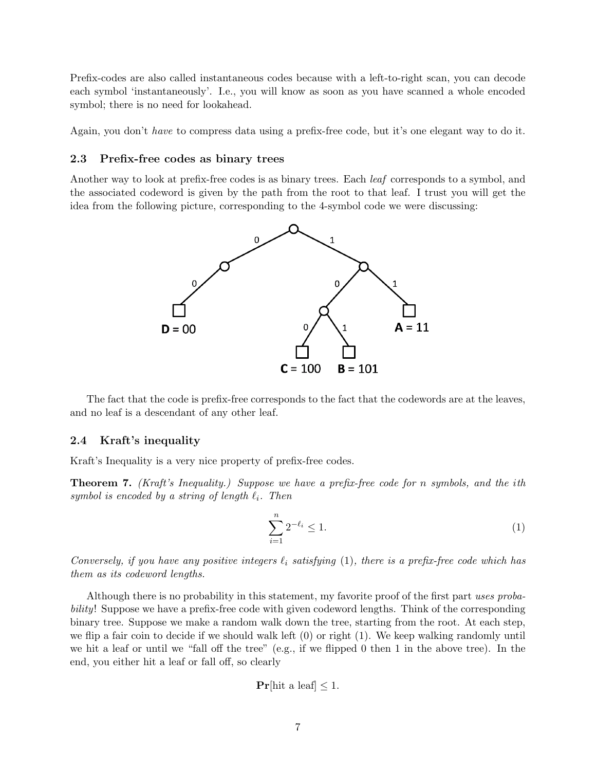Prefix-codes are also called instantaneous codes because with a left-to-right scan, you can decode each symbol 'instantaneously'. I.e., you will know as soon as you have scanned a whole encoded symbol; there is no need for lookahead.

Again, you don't have to compress data using a prefix-free code, but it's one elegant way to do it.

#### 2.3 Prefix-free codes as binary trees

Another way to look at prefix-free codes is as binary trees. Each leaf corresponds to a symbol, and the associated codeword is given by the path from the root to that leaf. I trust you will get the idea from the following picture, corresponding to the 4-symbol code we were discussing:



The fact that the code is prefix-free corresponds to the fact that the codewords are at the leaves, and no leaf is a descendant of any other leaf.

### 2.4 Kraft's inequality

Kraft's Inequality is a very nice property of prefix-free codes.

**Theorem 7.** (Kraft's Inequality.) Suppose we have a prefix-free code for n symbols, and the ith symbol is encoded by a string of length  $\ell_i$ . Then

$$
\sum_{i=1}^{n} 2^{-\ell_i} \le 1.
$$
 (1)

Conversely, if you have any positive integers  $\ell_i$  satisfying (1), there is a prefix-free code which has them as its codeword lengths.

Although there is no probability in this statement, my favorite proof of the first part uses probability! Suppose we have a prefix-free code with given codeword lengths. Think of the corresponding binary tree. Suppose we make a random walk down the tree, starting from the root. At each step, we flip a fair coin to decide if we should walk left (0) or right (1). We keep walking randomly until we hit a leaf or until we "fall off the tree" (e.g., if we flipped 0 then 1 in the above tree). In the end, you either hit a leaf or fall off, so clearly

$$
\Pr[\text{hit a leaf}] \le 1.
$$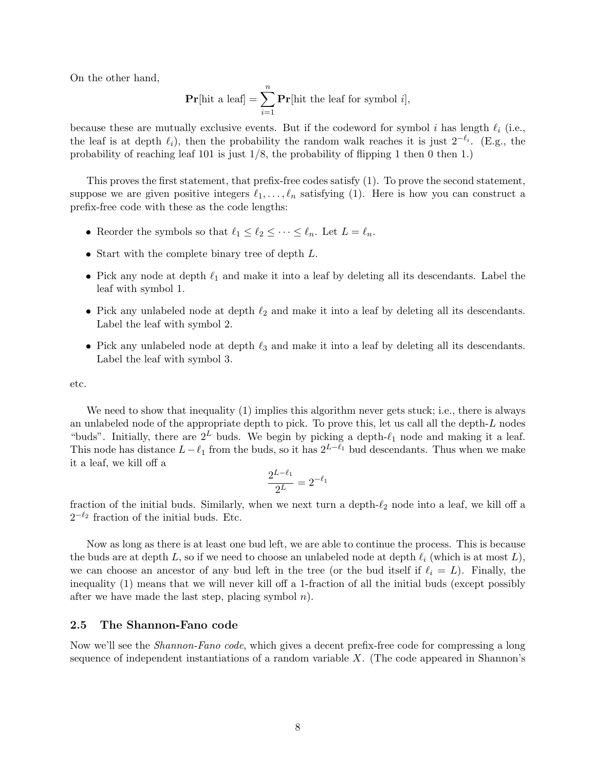On the other hand,

$$
\Pr[\text{hit a leaf}] = \sum_{i=1}^{n} \Pr[\text{hit the leaf for symbol } i],
$$

because these are mutually exclusive events. But if the codeword for symbol i has length  $\ell_i$  (i.e., the leaf is at depth  $\ell_i$ ), then the probability the random walk reaches it is just  $2^{-\ell_i}$ . (E.g., the probability of reaching leaf 101 is just  $1/8$ , the probability of flipping 1 then 0 then 1.)

This proves the first statement, that prefix-free codes satisfy (1). To prove the second statement, suppose we are given positive integers  $\ell_1, \ldots, \ell_n$  satisfying (1). Here is how you can construct a prefix-free code with these as the code lengths:

- Reorder the symbols so that  $\ell_1 \leq \ell_2 \leq \cdots \leq \ell_n$ . Let  $L = \ell_n$ .
- $\bullet$  Start with the complete binary tree of depth  $L$ .
- Pick any node at depth  $\ell_1$  and make it into a leaf by deleting all its descendants. Label the leaf with symbol 1.
- Pick any unlabeled node at depth  $\ell_2$  and make it into a leaf by deleting all its descendants. Label the leaf with symbol 2.
- Pick any unlabeled node at depth  $\ell_3$  and make it into a leaf by deleting all its descendants. Label the leaf with symbol 3.

etc.

We need to show that inequality (1) implies this algorithm never gets stuck; i.e., there is always an unlabeled node of the appropriate depth to pick. To prove this, let us call all the depth-L nodes "buds". Initially, there are  $2^L$  buds. We begin by picking a depth- $\ell_1$  node and making it a leaf. This node has distance  $L-\ell_1$  from the buds, so it has  $2^{L-\ell_1}$  bud descendants. Thus when we make it a leaf, we kill off a

$$
\frac{2^{L-\ell_1}}{2^L} = 2^{-\ell_1}
$$

fraction of the initial buds. Similarly, when we next turn a depth- $\ell_2$  node into a leaf, we kill off a  $2^{-\ell_2}$  fraction of the initial buds. Etc.

Now as long as there is at least one bud left, we are able to continue the process. This is because the buds are at depth L, so if we need to choose an unlabeled node at depth  $\ell_i$  (which is at most L), we can choose an ancestor of any bud left in the tree (or the bud itself if  $\ell_i = L$ ). Finally, the inequality (1) means that we will never kill off a 1-fraction of all the initial buds (except possibly after we have made the last step, placing symbol  $n$ ).

#### 2.5 The Shannon-Fano code

Now we'll see the *Shannon-Fano code*, which gives a decent prefix-free code for compressing a long sequence of independent instantiations of a random variable  $X$ . (The code appeared in Shannon's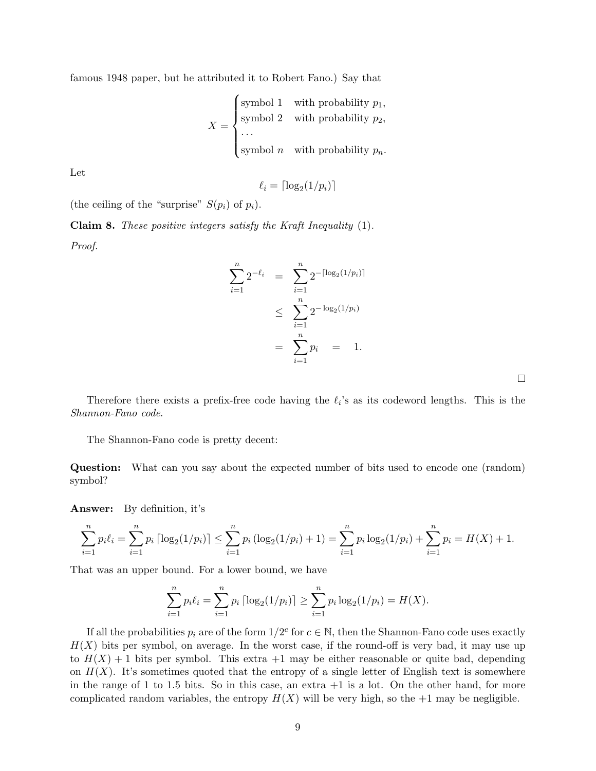famous 1948 paper, but he attributed it to Robert Fano.) Say that

$$
X = \begin{cases} \text{symbol 1} & \text{with probability } p_1, \\ \text{symbol 2} & \text{with probability } p_2, \\ \dots \\ \text{symbol } n & \text{with probability } p_n. \end{cases}
$$

Let

$$
\ell_i = \lceil \log_2(1/p_i) \rceil
$$

(the ceiling of the "surprise"  $S(p_i)$  of  $p_i$ ).

Claim 8. These positive integers satisfy the Kraft Inequality (1). Proof.

$$
\sum_{i=1}^{n} 2^{-\ell_i} = \sum_{i=1}^{n} 2^{-\lceil \log_2(1/p_i) \rceil}
$$
  

$$
\leq \sum_{i=1}^{n} 2^{-\log_2(1/p_i)}
$$
  

$$
= \sum_{i=1}^{n} p_i = 1.
$$

 $\Box$ 

Therefore there exists a prefix-free code having the  $\ell_i$ 's as its codeword lengths. This is the Shannon-Fano code.

The Shannon-Fano code is pretty decent:

Question: What can you say about the expected number of bits used to encode one (random) symbol?

Answer: By definition, it's

$$
\sum_{i=1}^{n} p_i \ell_i = \sum_{i=1}^{n} p_i \left[ \log_2(1/p_i) \right] \le \sum_{i=1}^{n} p_i \left( \log_2(1/p_i) + 1 \right) = \sum_{i=1}^{n} p_i \log_2(1/p_i) + \sum_{i=1}^{n} p_i = H(X) + 1.
$$

That was an upper bound. For a lower bound, we have

$$
\sum_{i=1}^{n} p_i \ell_i = \sum_{i=1}^{n} p_i \left\lceil \log_2(1/p_i) \right\rceil \ge \sum_{i=1}^{n} p_i \log_2(1/p_i) = H(X).
$$

If all the probabilities  $p_i$  are of the form  $1/2^c$  for  $c \in \mathbb{N}$ , then the Shannon-Fano code uses exactly  $H(X)$  bits per symbol, on average. In the worst case, if the round-off is very bad, it may use up to  $H(X) + 1$  bits per symbol. This extra  $+1$  may be either reasonable or quite bad, depending on  $H(X)$ . It's sometimes quoted that the entropy of a single letter of English text is somewhere in the range of 1 to 1.5 bits. So in this case, an extra  $+1$  is a lot. On the other hand, for more complicated random variables, the entropy  $H(X)$  will be very high, so the  $+1$  may be negligible.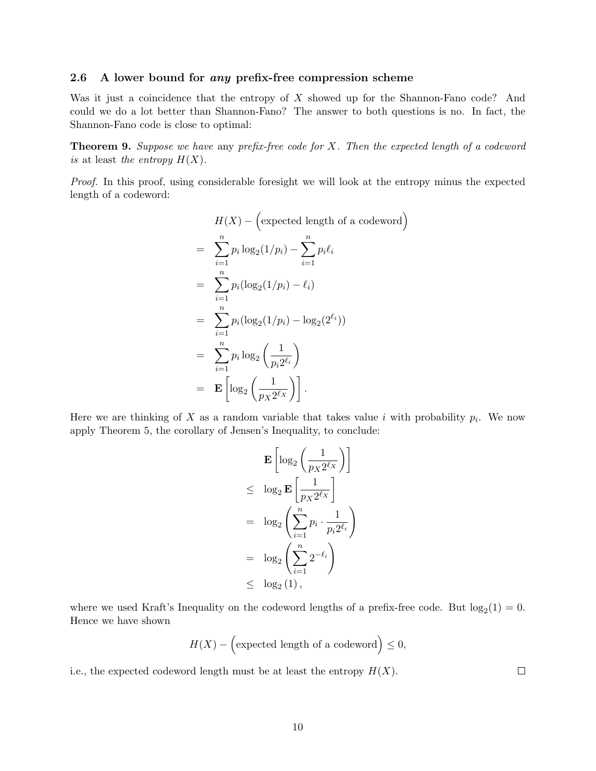### 2.6 A lower bound for *any* prefix-free compression scheme

Was it just a coincidence that the entropy of  $X$  showed up for the Shannon-Fano code? And could we do a lot better than Shannon-Fano? The answer to both questions is no. In fact, the Shannon-Fano code is close to optimal:

**Theorem 9.** Suppose we have any prefix-free code for  $X$ . Then the expected length of a codeword is at least the entropy  $H(X)$ .

Proof. In this proof, using considerable foresight we will look at the entropy minus the expected length of a codeword:

$$
H(X) - \left(\text{expected length of a codeword}\right)
$$
\n
$$
= \sum_{i=1}^{n} p_i \log_2(1/p_i) - \sum_{i=1}^{n} p_i \ell_i
$$
\n
$$
= \sum_{i=1}^{n} p_i (\log_2(1/p_i) - \ell_i)
$$
\n
$$
= \sum_{i=1}^{n} p_i (\log_2(1/p_i) - \log_2(2^{\ell_i}))
$$
\n
$$
= \sum_{i=1}^{n} p_i \log_2\left(\frac{1}{p_i 2^{\ell_i}}\right)
$$
\n
$$
= \mathbf{E} \left[ \log_2\left(\frac{1}{p_X 2^{\ell_X}}\right) \right].
$$

Here we are thinking of X as a random variable that takes value i with probability  $p_i$ . We now apply Theorem 5, the corollary of Jensen's Inequality, to conclude:

$$
\mathbf{E}\left[\log_2\left(\frac{1}{p_X 2^{\ell_X}}\right)\right]
$$
  
\n
$$
\leq \log_2 \mathbf{E}\left[\frac{1}{p_X 2^{\ell_X}}\right]
$$
  
\n
$$
= \log_2\left(\sum_{i=1}^n p_i \cdot \frac{1}{p_i 2^{\ell_i}}\right)
$$
  
\n
$$
= \log_2\left(\sum_{i=1}^n 2^{-\ell_i}\right)
$$
  
\n
$$
\leq \log_2(1),
$$

where we used Kraft's Inequality on the codeword lengths of a prefix-free code. But  $log_2(1) = 0$ . Hence we have shown

$$
H(X) - \left(\text{expected length of a codeword}\right) \le 0,
$$

i.e., the expected codeword length must be at least the entropy  $H(X)$ .

 $\Box$